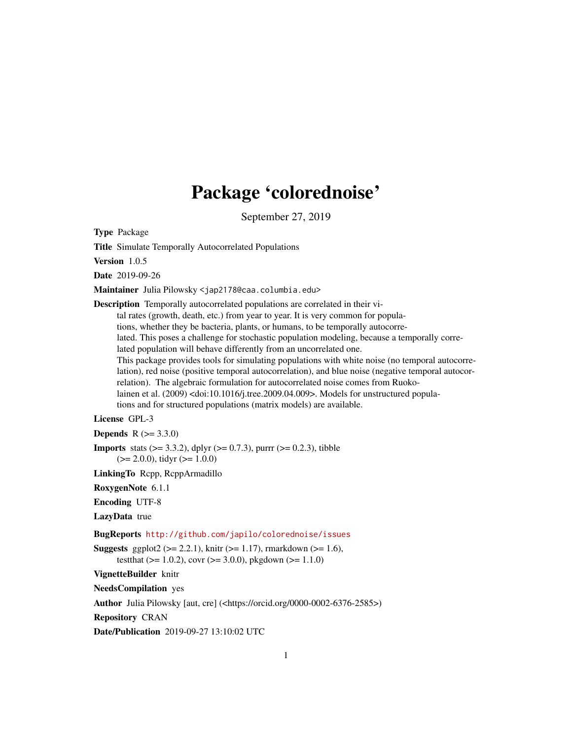## Package 'colorednoise'

September 27, 2019

<span id="page-0-0"></span>Type Package

Title Simulate Temporally Autocorrelated Populations

Version 1.0.5

Date 2019-09-26

Maintainer Julia Pilowsky <jap2178@caa.columbia.edu>

Description Temporally autocorrelated populations are correlated in their vi-

tal rates (growth, death, etc.) from year to year. It is very common for popula-

tions, whether they be bacteria, plants, or humans, to be temporally autocorre-

lated. This poses a challenge for stochastic population modeling, because a temporally correlated population will behave differently from an uncorrelated one.

This package provides tools for simulating populations with white noise (no temporal autocorre-

lation), red noise (positive temporal autocorrelation), and blue noise (negative temporal autocorrelation). The algebraic formulation for autocorrelated noise comes from Ruoko-

lainen et al. (2009) <doi:10.1016/j.tree.2009.04.009>. Models for unstructured popula-

tions and for structured populations (matrix models) are available.

#### License GPL-3

**Depends**  $R (= 3.3.0)$ 

**Imports** stats ( $>= 3.3.2$ ), dplyr ( $>= 0.7.3$ ), purrr ( $>= 0.2.3$ ), tibble  $(>= 2.0.0)$ , tidyr  $(>= 1.0.0)$ 

LinkingTo Rcpp, RcppArmadillo

RoxygenNote 6.1.1

Encoding UTF-8

LazyData true

BugReports <http://github.com/japilo/colorednoise/issues>

**Suggests** ggplot2 ( $>= 2.2.1$ ), knitr ( $>= 1.17$ ), rmarkdown ( $>= 1.6$ ), testthat ( $> = 1.0.2$ ), covr ( $>= 3.0.0$ ), pkgdown ( $>= 1.1.0$ )

VignetteBuilder knitr

NeedsCompilation yes

Author Julia Pilowsky [aut, cre] (<https://orcid.org/0000-0002-6376-2585>)

Repository CRAN

Date/Publication 2019-09-27 13:10:02 UTC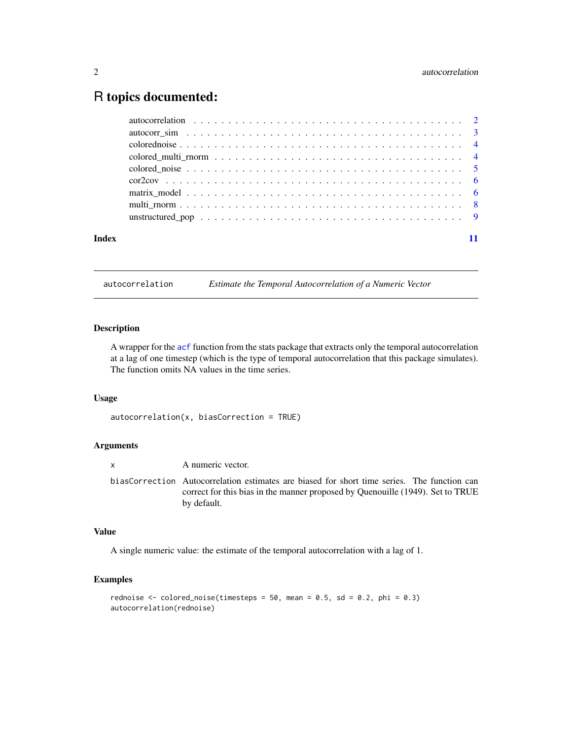### <span id="page-1-0"></span>R topics documented:

| Index |  |
|-------|--|

autocorrelation *Estimate the Temporal Autocorrelation of a Numeric Vector*

#### Description

A wrapper for the [acf](#page-0-0) function from the stats package that extracts only the temporal autocorrelation at a lag of one timestep (which is the type of temporal autocorrelation that this package simulates). The function omits NA values in the time series.

#### Usage

```
autocorrelation(x, biasCorrection = TRUE)
```
#### Arguments

x A numeric vector. biasCorrection Autocorrelation estimates are biased for short time series. The function can correct for this bias in the manner proposed by Quenouille (1949). Set to TRUE by default.

#### Value

A single numeric value: the estimate of the temporal autocorrelation with a lag of 1.

```
rednoise \le colored_noise(timesteps = 50, mean = 0.5, sd = 0.2, phi = 0.3)
autocorrelation(rednoise)
```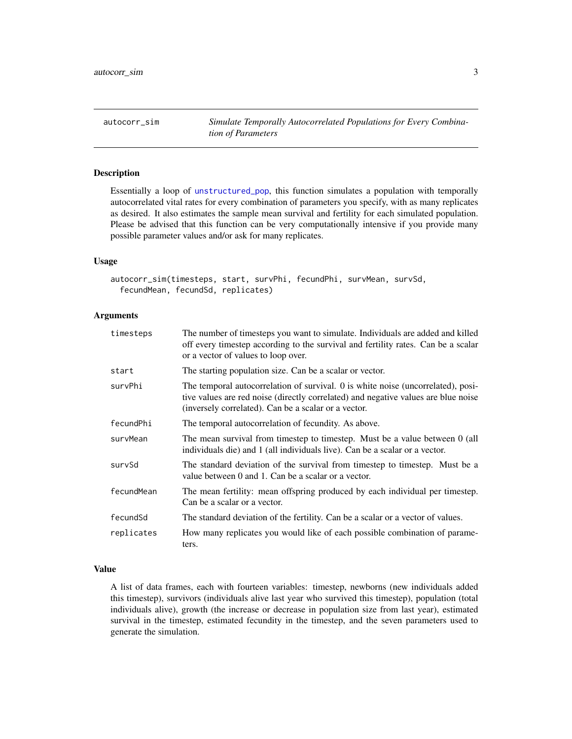<span id="page-2-0"></span>autocorr\_sim *Simulate Temporally Autocorrelated Populations for Every Combination of Parameters*

#### Description

Essentially a loop of [unstructured\\_pop](#page-8-1), this function simulates a population with temporally autocorrelated vital rates for every combination of parameters you specify, with as many replicates as desired. It also estimates the sample mean survival and fertility for each simulated population. Please be advised that this function can be very computationally intensive if you provide many possible parameter values and/or ask for many replicates.

#### Usage

```
autocorr_sim(timesteps, start, survPhi, fecundPhi, survMean, survSd,
 fecundMean, fecundSd, replicates)
```
#### **Arguments**

| timesteps  | The number of timesteps you want to simulate. Individuals are added and killed<br>off every timestep according to the survival and fertility rates. Can be a scalar<br>or a vector of values to loop over.                     |
|------------|--------------------------------------------------------------------------------------------------------------------------------------------------------------------------------------------------------------------------------|
| start      | The starting population size. Can be a scalar or vector.                                                                                                                                                                       |
| survPhi    | The temporal autocorrelation of survival. 0 is white noise (uncorrelated), posi-<br>tive values are red noise (directly correlated) and negative values are blue noise<br>(inversely correlated). Can be a scalar or a vector. |
| fecundPhi  | The temporal autocorrelation of fecundity. As above.                                                                                                                                                                           |
| survMean   | The mean survival from timestep to timestep. Must be a value between 0 (all<br>individuals die) and 1 (all individuals live). Can be a scalar or a vector.                                                                     |
| survSd     | The standard deviation of the survival from timestep to timestep. Must be a<br>value between 0 and 1. Can be a scalar or a vector.                                                                                             |
| fecundMean | The mean fertility: mean offspring produced by each individual per timestep.<br>Can be a scalar or a vector.                                                                                                                   |
| fecundSd   | The standard deviation of the fertility. Can be a scalar or a vector of values.                                                                                                                                                |
| replicates | How many replicates you would like of each possible combination of parame-<br>ters.                                                                                                                                            |

#### Value

A list of data frames, each with fourteen variables: timestep, newborns (new individuals added this timestep), survivors (individuals alive last year who survived this timestep), population (total individuals alive), growth (the increase or decrease in population size from last year), estimated survival in the timestep, estimated fecundity in the timestep, and the seven parameters used to generate the simulation.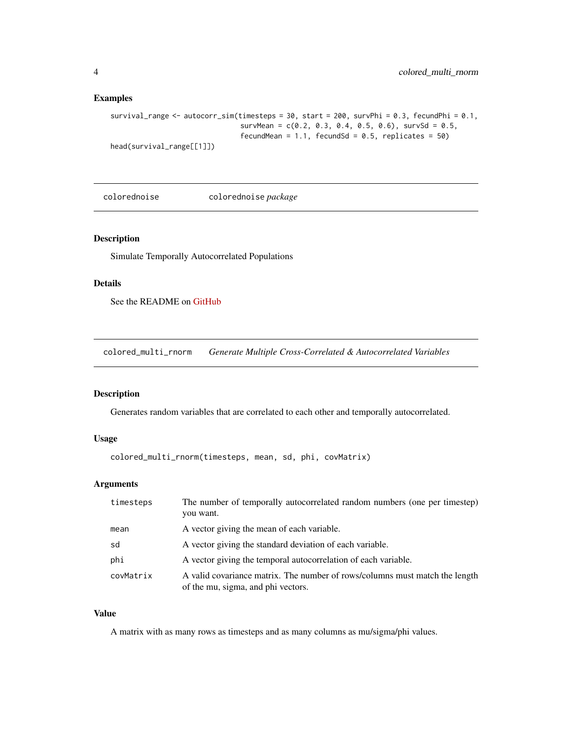#### Examples

```
survival_range <- autocorr_sim(timesteps = 30, start = 200, survPhi = 0.3, fecundPhi = 0.1,
                               survMean = c(0.2, 0.3, 0.4, 0.5, 0.6), survSd = 0.5,
                               fecundMean = 1.1, fecundSd = 0.5, replicates = 50)
head(survival_range[[1]])
```
colorednoise colorednoise *package*

#### Description

Simulate Temporally Autocorrelated Populations

#### Details

See the README on [GitHub](https://github.com/japilo/colorednoise#readme)

colored\_multi\_rnorm *Generate Multiple Cross-Correlated & Autocorrelated Variables*

#### Description

Generates random variables that are correlated to each other and temporally autocorrelated.

#### Usage

```
colored_multi_rnorm(timesteps, mean, sd, phi, covMatrix)
```
#### Arguments

| timesteps | The number of temporally autocorrelated random numbers (one per timestep)<br>you want.                            |
|-----------|-------------------------------------------------------------------------------------------------------------------|
| mean      | A vector giving the mean of each variable.                                                                        |
| sd        | A vector giving the standard deviation of each variable.                                                          |
| phi       | A vector giving the temporal autocorrelation of each variable.                                                    |
| covMatrix | A valid covariance matrix. The number of rows/columns must match the length<br>of the mu, sigma, and phi vectors. |

#### Value

A matrix with as many rows as timesteps and as many columns as mu/sigma/phi values.

<span id="page-3-0"></span>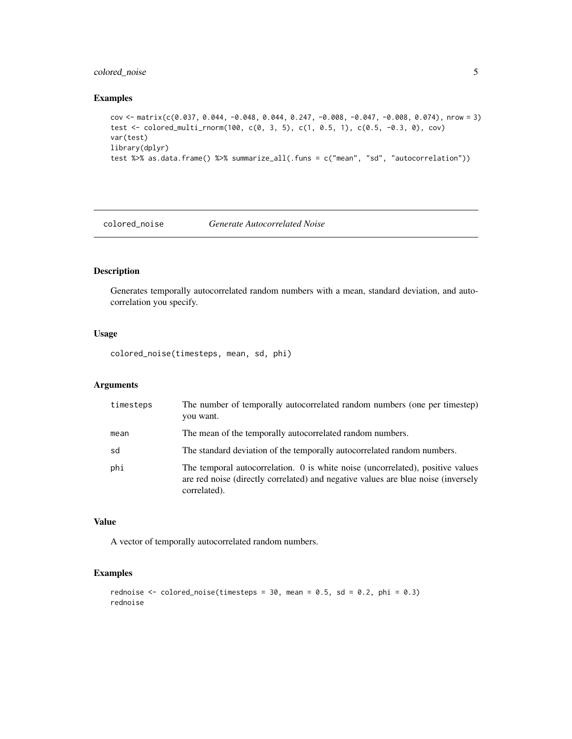#### <span id="page-4-0"></span>colored\_noise 5

#### Examples

```
cov <- matrix(c(0.037, 0.044, -0.048, 0.044, 0.247, -0.008, -0.047, -0.008, 0.074), nrow = 3)
test <- colored_multi_rnorm(100, c(0, 3, 5), c(1, 0.5, 1), c(0.5, -0.3, 0), cov)
var(test)
library(dplyr)
test %>% as.data.frame() %>% summarize_all(.funs = c("mean", "sd", "autocorrelation"))
```
colored\_noise *Generate Autocorrelated Noise*

#### Description

Generates temporally autocorrelated random numbers with a mean, standard deviation, and autocorrelation you specify.

#### Usage

colored\_noise(timesteps, mean, sd, phi)

#### Arguments

| timesteps | The number of temporally autocorrelated random numbers (one per timestep)<br>you want.                                                                                              |
|-----------|-------------------------------------------------------------------------------------------------------------------------------------------------------------------------------------|
| mean      | The mean of the temporally autocorrelated random numbers.                                                                                                                           |
| sd        | The standard deviation of the temporally autocorrelated random numbers.                                                                                                             |
| phi       | The temporal autocorrelation. 0 is white noise (uncorrelated), positive values<br>are red noise (directly correlated) and negative values are blue noise (inversely<br>correlated). |

#### Value

A vector of temporally autocorrelated random numbers.

```
rednoise \le colored_noise(timesteps = 30, mean = 0.5, sd = 0.2, phi = 0.3)
rednoise
```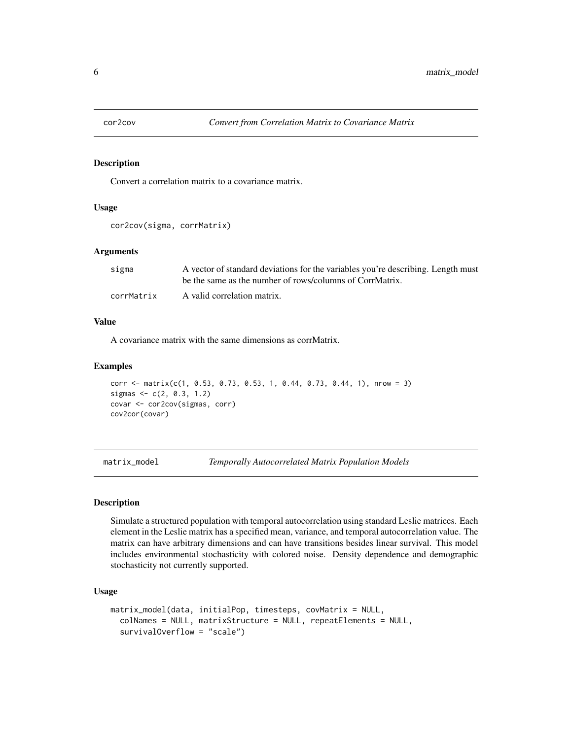<span id="page-5-0"></span>

#### Description

Convert a correlation matrix to a covariance matrix.

#### Usage

```
cor2cov(sigma, corrMatrix)
```
#### Arguments

| sigma      | A vector of standard deviations for the variables you're describing. Length must |
|------------|----------------------------------------------------------------------------------|
|            | be the same as the number of rows/columns of CorrMatrix.                         |
| corrMatrix | A valid correlation matrix.                                                      |

#### Value

A covariance matrix with the same dimensions as corrMatrix.

#### Examples

```
corr <- matrix(c(1, 0.53, 0.73, 0.53, 1, 0.44, 0.73, 0.44, 1), nrow = 3)
sigmas <- c(2, 0.3, 1.2)
covar <- cor2cov(sigmas, corr)
cov2cor(covar)
```
matrix\_model *Temporally Autocorrelated Matrix Population Models*

#### Description

Simulate a structured population with temporal autocorrelation using standard Leslie matrices. Each element in the Leslie matrix has a specified mean, variance, and temporal autocorrelation value. The matrix can have arbitrary dimensions and can have transitions besides linear survival. This model includes environmental stochasticity with colored noise. Density dependence and demographic stochasticity not currently supported.

#### Usage

```
matrix_model(data, initialPop, timesteps, covMatrix = NULL,
  colNames = NULL, matrixStructure = NULL, repeatElements = NULL,
  survivalOverflow = "scale")
```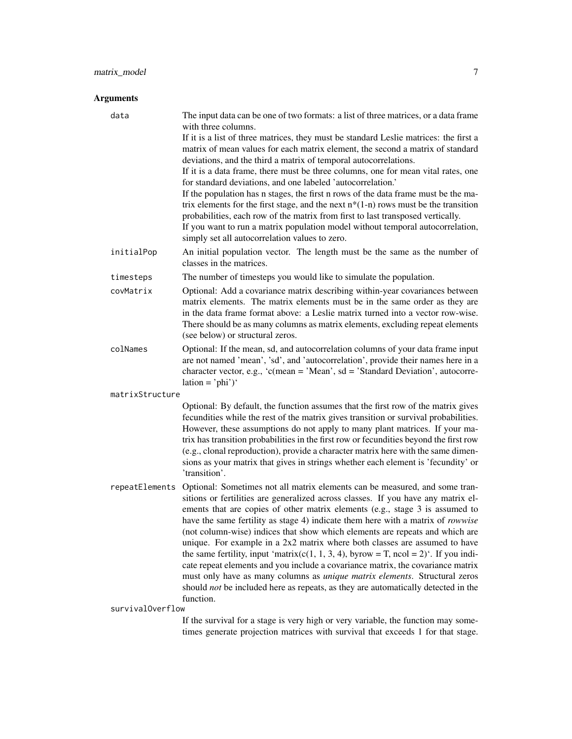#### Arguments

data The input data can be one of two formats: a list of three matrices, or a data frame with three columns. If it is a list of three matrices, they must be standard Leslie matrices: the first a matrix of mean values for each matrix element, the second a matrix of standard deviations, and the third a matrix of temporal autocorrelations. If it is a data frame, there must be three columns, one for mean vital rates, one for standard deviations, and one labeled 'autocorrelation.' If the population has n stages, the first n rows of the data frame must be the matrix elements for the first stage, and the next  $n*(1-n)$  rows must be the transition probabilities, each row of the matrix from first to last transposed vertically. If you want to run a matrix population model without temporal autocorrelation, simply set all autocorrelation values to zero. initialPop An initial population vector. The length must be the same as the number of classes in the matrices. timesteps The number of timesteps you would like to simulate the population. covMatrix Optional: Add a covariance matrix describing within-year covariances between matrix elements. The matrix elements must be in the same order as they are in the data frame format above: a Leslie matrix turned into a vector row-wise. There should be as many columns as matrix elements, excluding repeat elements (see below) or structural zeros. colNames Optional: If the mean, sd, and autocorrelation columns of your data frame input are not named 'mean', 'sd', and 'autocorrelation', provide their names here in a character vector, e.g., 'c(mean = 'Mean', sd = 'Standard Deviation', autocorre $lation = 'phi')'$ matrixStructure Optional: By default, the function assumes that the first row of the matrix gives fecundities while the rest of the matrix gives transition or survival probabilities. However, these assumptions do not apply to many plant matrices. If your matrix has transition probabilities in the first row or fecundities beyond the first row (e.g., clonal reproduction), provide a character matrix here with the same dimensions as your matrix that gives in strings whether each element is 'fecundity' or 'transition'. repeatElements Optional: Sometimes not all matrix elements can be measured, and some transitions or fertilities are generalized across classes. If you have any matrix elements that are copies of other matrix elements (e.g., stage 3 is assumed to have the same fertility as stage 4) indicate them here with a matrix of *rowwise* (not column-wise) indices that show which elements are repeats and which are

unique. For example in a 2x2 matrix where both classes are assumed to have the same fertility, input 'matrix(c(1, 1, 3, 4), byrow = T, ncol = 2)'. If you indicate repeat elements and you include a covariance matrix, the covariance matrix must only have as many columns as *unique matrix elements*. Structural zeros should *not* be included here as repeats, as they are automatically detected in the

survivalOverflow

function.

If the survival for a stage is very high or very variable, the function may sometimes generate projection matrices with survival that exceeds 1 for that stage.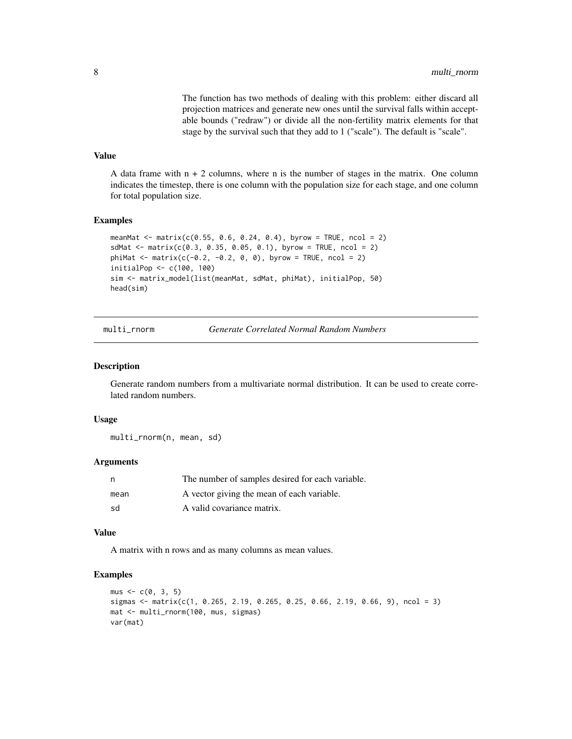The function has two methods of dealing with this problem: either discard all projection matrices and generate new ones until the survival falls within acceptable bounds ("redraw") or divide all the non-fertility matrix elements for that stage by the survival such that they add to 1 ("scale"). The default is "scale".

#### <span id="page-7-0"></span>Value

A data frame with  $n + 2$  columns, where n is the number of stages in the matrix. One column indicates the timestep, there is one column with the population size for each stage, and one column for total population size.

#### Examples

```
meanMat <- matrix(c(0.55, 0.6, 0.24, 0.4), byrow = TRUE, ncol = 2)
sdMat <- matrix(c(0.3, 0.35, 0.05, 0.1), byrow = TRUE, ncol = 2)
phi = -1 matrix(c(-0.2, -0.2, 0, 0), byrow = TRUE, ncol = 2)
initialPop <- c(100, 100)
sim <- matrix_model(list(meanMat, sdMat, phiMat), initialPop, 50)
head(sim)
```
multi\_rnorm *Generate Correlated Normal Random Numbers*

#### **Description**

Generate random numbers from a multivariate normal distribution. It can be used to create correlated random numbers.

#### Usage

multi\_rnorm(n, mean, sd)

#### Arguments

| n,   | The number of samples desired for each variable. |
|------|--------------------------------------------------|
| mean | A vector giving the mean of each variable.       |
| .sd  | A valid covariance matrix.                       |

#### Value

A matrix with n rows and as many columns as mean values.

```
mus < -c(0, 3, 5)sigmas <- matrix(c(1, 0.265, 2.19, 0.265, 0.25, 0.66, 2.19, 0.66, 9), ncol = 3)
mat <- multi_rnorm(100, mus, sigmas)
var(mat)
```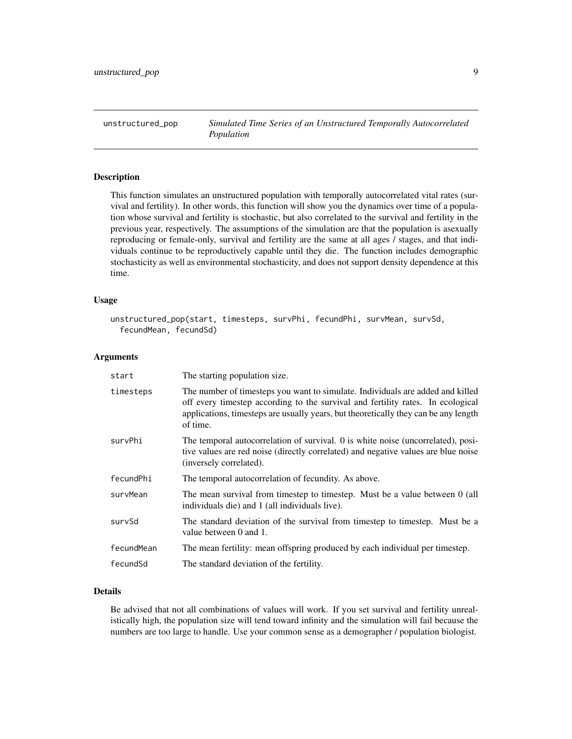<span id="page-8-1"></span><span id="page-8-0"></span>unstructured\_pop *Simulated Time Series of an Unstructured Temporally Autocorrelated Population*

#### Description

This function simulates an unstructured population with temporally autocorrelated vital rates (survival and fertility). In other words, this function will show you the dynamics over time of a population whose survival and fertility is stochastic, but also correlated to the survival and fertility in the previous year, respectively. The assumptions of the simulation are that the population is asexually reproducing or female-only, survival and fertility are the same at all ages / stages, and that individuals continue to be reproductively capable until they die. The function includes demographic stochasticity as well as environmental stochasticity, and does not support density dependence at this time.

#### Usage

```
unstructured_pop(start, timesteps, survPhi, fecundPhi, survMean, survSd,
  fecundMean, fecundSd)
```
#### Arguments

| start      | The starting population size.                                                                                                                                                                                                                                        |
|------------|----------------------------------------------------------------------------------------------------------------------------------------------------------------------------------------------------------------------------------------------------------------------|
| timesteps  | The number of timesteps you want to simulate. Individuals are added and killed<br>off every timestep according to the survival and fertility rates. In ecological<br>applications, timesteps are usually years, but theoretically they can be any length<br>of time. |
| survPhi    | The temporal autocorrelation of survival. 0 is white noise (uncorrelated), posi-<br>tive values are red noise (directly correlated) and negative values are blue noise<br>(inversely correlated).                                                                    |
| fecundPhi  | The temporal autocorrelation of fecundity. As above.                                                                                                                                                                                                                 |
| survMean   | The mean survival from timestep to timestep. Must be a value between 0 (all<br>individuals die) and 1 (all individuals live).                                                                                                                                        |
| survSd     | The standard deviation of the survival from timestep to timestep. Must be a<br>value between 0 and 1.                                                                                                                                                                |
| fecundMean | The mean fertility: mean offspring produced by each individual per timestep.                                                                                                                                                                                         |
| fecundSd   | The standard deviation of the fertility.                                                                                                                                                                                                                             |

#### Details

Be advised that not all combinations of values will work. If you set survival and fertility unrealistically high, the population size will tend toward infinity and the simulation will fail because the numbers are too large to handle. Use your common sense as a demographer / population biologist.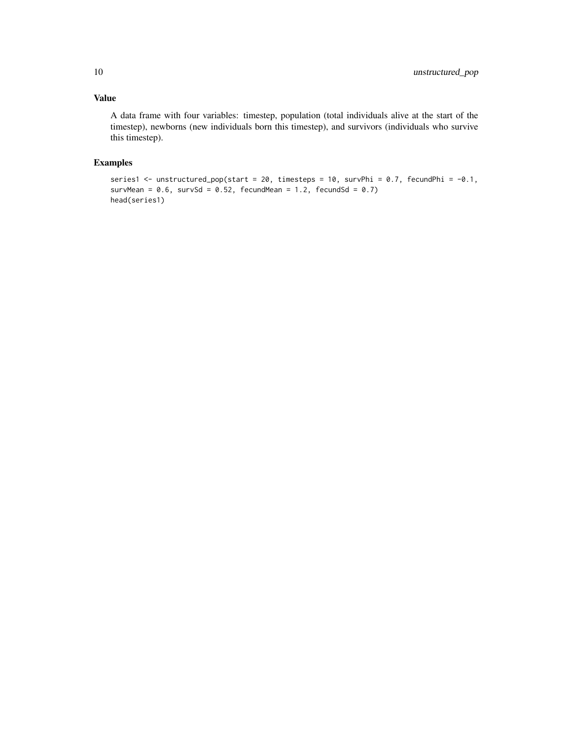#### Value

A data frame with four variables: timestep, population (total individuals alive at the start of the timestep), newborns (new individuals born this timestep), and survivors (individuals who survive this timestep).

```
series1 <- unstructured_pop(start = 20, timesteps = 10, survPhi = 0.7, fecundPhi = -0.1,
survMean = 0.6, survSd = 0.52, fecundMean = 1.2, fecundSd = 0.7)
head(series1)
```